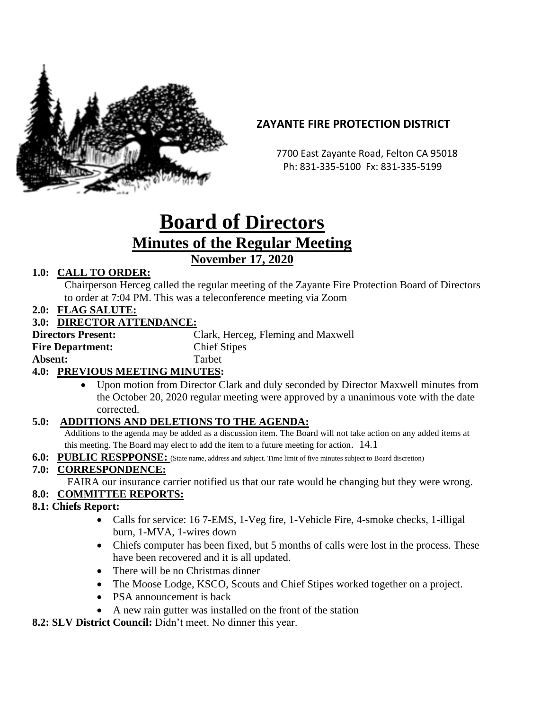

# **ZAYANTE FIRE PROTECTION DISTRICT**

 7700 East Zayante Road, Felton CA 95018 Ph: 831-335-5100 Fx: 831-335-5199

# **Board of Directors Minutes of the Regular Meeting November 17, 2020**

## **1.0: CALL TO ORDER:**

Chairperson Herceg called the regular meeting of the Zayante Fire Protection Board of Directors to order at 7:04 PM. This was a teleconference meeting via Zoom

**2.0: FLAG SALUTE:**

#### **3.0: DIRECTOR ATTENDANCE:**

| <b>Directors Present:</b>            | Clark, Herceg, Fleming and Maxwell |
|--------------------------------------|------------------------------------|
| <b>Fire Department:</b>              | <b>Chief Stipes</b>                |
| Absent:                              | <b>Tarbet</b>                      |
| <b>40. PREVIOUS MEETING MINUTES.</b> |                                    |

#### **4.0: PREVIOUS MEETING MINUTES:**

• Upon motion from Director Clark and duly seconded by Director Maxwell minutes from the October 20, 2020 regular meeting were approved by a unanimous vote with the date corrected.

#### **5.0: ADDITIONS AND DELETIONS TO THE AGENDA:**

Additions to the agenda may be added as a discussion item. The Board will not take action on any added items at this meeting. The Board may elect to add the item to a future meeting for action. 14.1

**6.0: PUBLIC RESPPONSE:** (State name, address and subject. Time limit of five minutes subject to Board discretion)

#### **7.0: CORRESPONDENCE:**

FAIRA our insurance carrier notified us that our rate would be changing but they were wrong.

#### **8.0: COMMITTEE REPORTS:**

- **8.1: Chiefs Report:**
	- Calls for service: 16 7-EMS, 1-Veg fire, 1-Vehicle Fire, 4-smoke checks, 1-illigal burn, 1-MVA, 1-wires down
	- Chiefs computer has been fixed, but 5 months of calls were lost in the process. These have been recovered and it is all updated.
	- There will be no Christmas dinner
	- The Moose Lodge, KSCO, Scouts and Chief Stipes worked together on a project.
	- PSA announcement is back
	- A new rain gutter was installed on the front of the station

**8.2: SLV District Council:** Didn't meet. No dinner this year.